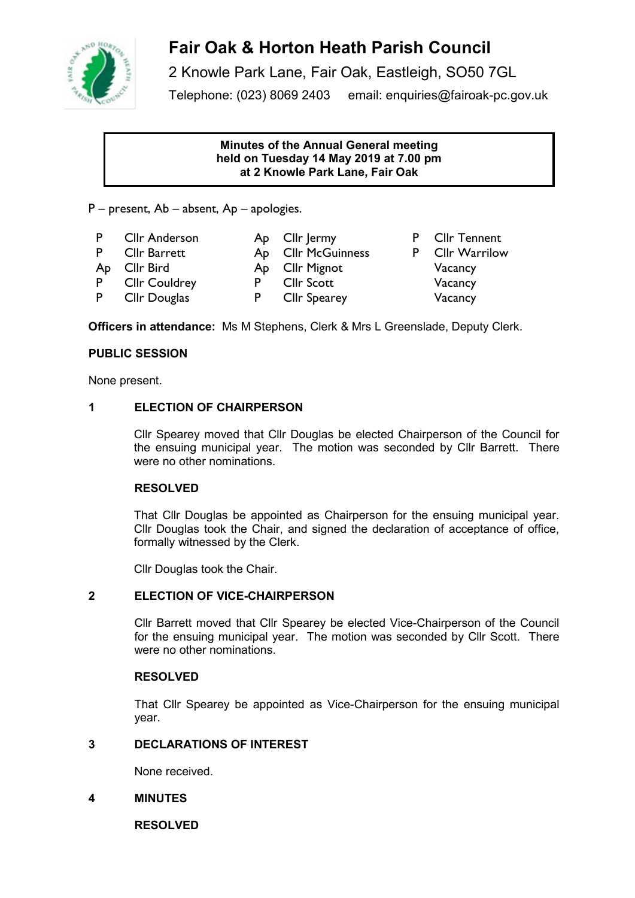

# **Fair Oak & Horton Heath Parish Council**

2 Knowle Park Lane, Fair Oak, Eastleigh, SO50 7GL Telephone: (023) 8069 2403 email: enquiries@fairoak-pc.gov.uk

### **Minutes of the Annual General meeting held on Tuesday 14 May 2019 at 7.00 pm at 2 Knowle Park Lane, Fair Oak**

P – present, Ab – absent, Ap – apologies.

- P Cllr Anderson Ap Cllr Jermy P Cllr Tennent
	-
- Ap Cllr Bird Ap Cllr Mignot Vacancy
- P CIIr Barrett Ap CIIr McGuinness P CIIr Warrilow
	-
- P CIIr Couldrey P CIIr Scott Vacancy
	-
- P CIIr Douglas P CIIr Spearey Vacancy
- -

**Officers in attendance:** Ms M Stephens, Clerk & Mrs L Greenslade, Deputy Clerk.

### **PUBLIC SESSION**

None present.

### **1 ELECTION OF CHAIRPERSON**

Cllr Spearey moved that Cllr Douglas be elected Chairperson of the Council for the ensuing municipal year. The motion was seconded by Cllr Barrett. There were no other nominations.

### **RESOLVED**

That Cllr Douglas be appointed as Chairperson for the ensuing municipal year. Cllr Douglas took the Chair, and signed the declaration of acceptance of office, formally witnessed by the Clerk.

Cllr Douglas took the Chair.

### **2 ELECTION OF VICE-CHAIRPERSON**

Cllr Barrett moved that Cllr Spearey be elected Vice-Chairperson of the Council for the ensuing municipal year. The motion was seconded by Cllr Scott. There were no other nominations.

### **RESOLVED**

That Cllr Spearey be appointed as Vice-Chairperson for the ensuing municipal year.

### **3 DECLARATIONS OF INTEREST**

None received.

### **4 MINUTES**

**RESOLVED**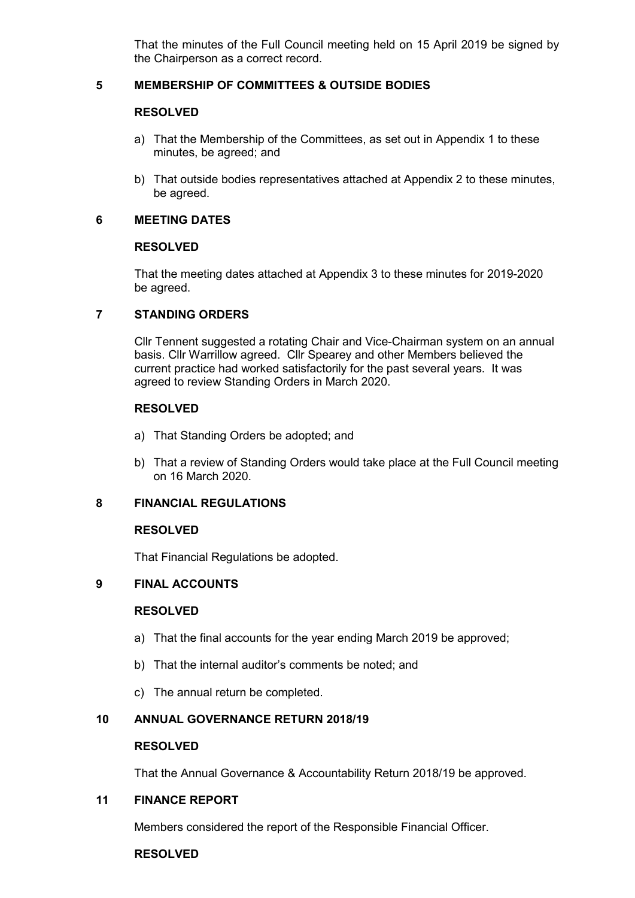That the minutes of the Full Council meeting held on 15 April 2019 be signed by the Chairperson as a correct record.

### **5 MEMBERSHIP OF COMMITTEES & OUTSIDE BODIES**

#### **RESOLVED**

- a) That the Membership of the Committees, as set out in Appendix 1 to these minutes, be agreed; and
- b) That outside bodies representatives attached at Appendix 2 to these minutes, be agreed.

### **6 MEETING DATES**

#### **RESOLVED**

That the meeting dates attached at Appendix 3 to these minutes for 2019-2020 be agreed.

### **7 STANDING ORDERS**

Cllr Tennent suggested a rotating Chair and Vice-Chairman system on an annual basis. Cllr Warrillow agreed. Cllr Spearey and other Members believed the current practice had worked satisfactorily for the past several years. It was agreed to review Standing Orders in March 2020.

### **RESOLVED**

- a) That Standing Orders be adopted; and
- b) That a review of Standing Orders would take place at the Full Council meeting on 16 March 2020.

### **8 FINANCIAL REGULATIONS**

#### **RESOLVED**

That Financial Regulations be adopted.

### **9 FINAL ACCOUNTS**

#### **RESOLVED**

- a) That the final accounts for the year ending March 2019 be approved;
- b) That the internal auditor's comments be noted; and
- c) The annual return be completed.

### **10 ANNUAL GOVERNANCE RETURN 2018/19**

#### **RESOLVED**

That the Annual Governance & Accountability Return 2018/19 be approved.

### **11 FINANCE REPORT**

Members considered the report of the Responsible Financial Officer.

#### **RESOLVED**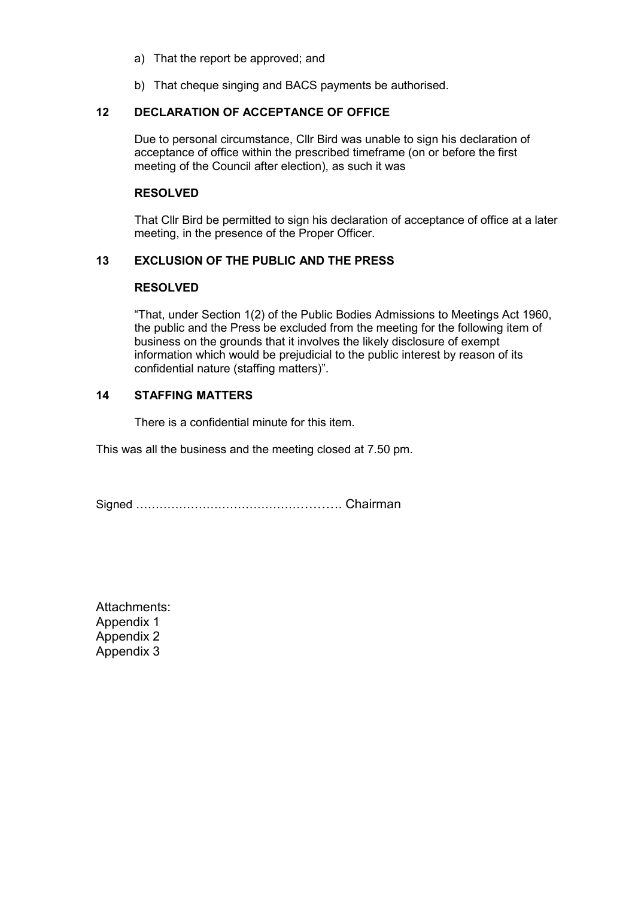- a) That the report be approved; and
- b) That cheque singing and BACS payments be authorised.

#### **12 DECLARATION OF ACCEPTANCE OF OFFICE**

Due to personal circumstance, Cllr Bird was unable to sign his declaration of acceptance of office within the prescribed timeframe (on or before the first meeting of the Council after election), as such it was

#### **RESOLVED**

That Cllr Bird be permitted to sign his declaration of acceptance of office at a later meeting, in the presence of the Proper Officer.

### **13 EXCLUSION OF THE PUBLIC AND THE PRESS**

#### **RESOLVED**

"That, under Section 1(2) of the Public Bodies Admissions to Meetings Act 1960, the public and the Press be excluded from the meeting for the following item of business on the grounds that it involves the likely disclosure of exempt information which would be prejudicial to the public interest by reason of its confidential nature (staffing matters)".

#### **14 STAFFING MATTERS**

There is a confidential minute for this item.

This was all the business and the meeting closed at 7.50 pm.

Signed ……………………………………………. Chairman

Attachments: Appendix 1 Appendix 2 Appendix 3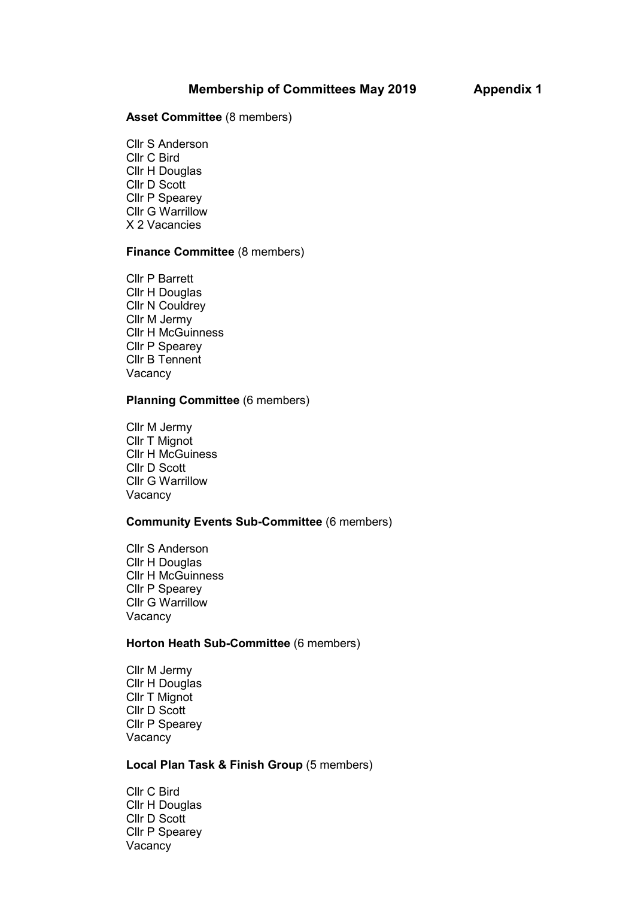#### **Asset Committee** (8 members)

Cllr S Anderson Cllr C Bird Cllr H Douglas Cllr D Scott Cllr P Spearey Cllr G Warrillow X 2 Vacancies

#### **Finance Committee** (8 members)

Cllr P Barrett Cllr H Douglas Cllr N Couldrey Cllr M Jermy Cllr H McGuinness Cllr P Spearey Cllr B Tennent Vacancy

#### **Planning Committee** (6 members)

Cllr M Jermy Cllr T Mignot Cllr H McGuiness Cllr D Scott Cllr G Warrillow Vacancy

#### **Community Events Sub-Committee** (6 members)

Cllr S Anderson Cllr H Douglas Cllr H McGuinness Cllr P Spearey Cllr G Warrillow Vacancy

#### **Horton Heath Sub-Committee** (6 members)

Cllr M Jermy Cllr H Douglas Cllr T Mignot Cllr D Scott Cllr P Spearey Vacancy

### **Local Plan Task & Finish Group** (5 members)

Cllr C Bird Cllr H Douglas Cllr D Scott Cllr P Spearey Vacancy